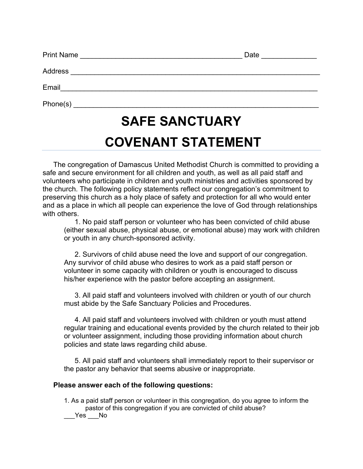| <b>SAFE SANCTUARY</b>                          |                      |  |  |  |
|------------------------------------------------|----------------------|--|--|--|
|                                                |                      |  |  |  |
| Email <u>_________________________________</u> |                      |  |  |  |
|                                                |                      |  |  |  |
| Print Name                                     | Date <u>________</u> |  |  |  |

## **COVENANT STATEMENT**

The congregation of Damascus United Methodist Church is committed to providing a safe and secure environment for all children and youth, as well as all paid staff and volunteers who participate in children and youth ministries and activities sponsored by the church. The following policy statements reflect our congregation's commitment to preserving this church as a holy place of safety and protection for all who would enter and as a place in which all people can experience the love of God through relationships with others.

1. No paid staff person or volunteer who has been convicted of child abuse (either sexual abuse, physical abuse, or emotional abuse) may work with children or youth in any church-sponsored activity.

2. Survivors of child abuse need the love and support of our congregation. Any survivor of child abuse who desires to work as a paid staff person or volunteer in some capacity with children or youth is encouraged to discuss his/her experience with the pastor before accepting an assignment.

3. All paid staff and volunteers involved with children or youth of our church must abide by the Safe Sanctuary Policies and Procedures.

4. All paid staff and volunteers involved with children or youth must attend regular training and educational events provided by the church related to their job or volunteer assignment, including those providing information about church policies and state laws regarding child abuse.

5. All paid staff and volunteers shall immediately report to their supervisor or the pastor any behavior that seems abusive or inappropriate.

## **Please answer each of the following questions:**

1. As a paid staff person or volunteer in this congregation, do you agree to inform the pastor of this congregation if you are convicted of child abuse? Yes No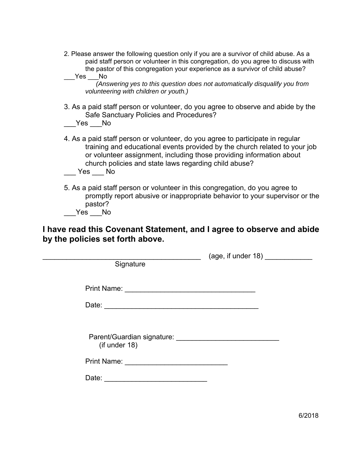| 2. Please answer the following question only if you are a survivor of child abuse. As a |
|-----------------------------------------------------------------------------------------|
| paid staff person or volunteer in this congregation, do you agree to discuss with       |
| the pastor of this congregation your experience as a survivor of child abuse?           |
| Yes.<br>No                                                                              |

*(Answering yes to this question does not automatically disqualify you from volunteering with children or youth.)* 

3. As a paid staff person or volunteer, do you agree to observe and abide by the Safe Sanctuary Policies and Procedures?  $Yes$  No

4. As a paid staff person or volunteer, do you agree to participate in regular training and educational events provided by the church related to your job

or volunteer assignment, including those providing information about church policies and state laws regarding child abuse?

 $\rule{1em}{0.15mm}$  Yes  $\rule{1em}{0.15mm}$  No

5. As a paid staff person or volunteer in this congregation, do you agree to promptly report abusive or inappropriate behavior to your supervisor or the pastor?

\_\_\_Yes \_\_\_No

**I have read this Covenant Statement, and I agree to observe and abide by the policies set forth above.** 

| Signature                                      | $(\text{age, if under } 18)$ |
|------------------------------------------------|------------------------------|
|                                                |                              |
| (if under 18)                                  |                              |
| Print Name: <u>___________________________</u> |                              |
|                                                |                              |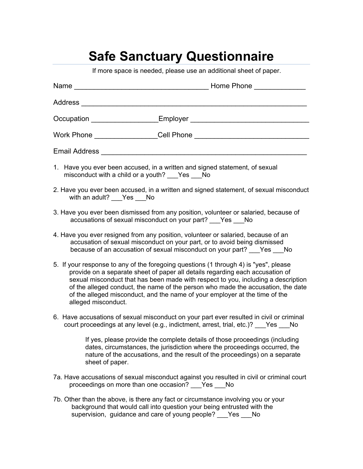## **Safe Sanctuary Questionnaire**

If more space is needed, please use an additional sheet of paper.

|                                                                                                                                                                                                                                                                                                                                                                                                                                                      | Name <b>Name Name Name Name Name Name Name Name Name Name Name Name Name Name NAME NAME NAME NAME NAME NAME NAME NAME NAME NAME NAME NAME NAME NAME NAME NAME NAME</b>                                                                                      |  |  |
|------------------------------------------------------------------------------------------------------------------------------------------------------------------------------------------------------------------------------------------------------------------------------------------------------------------------------------------------------------------------------------------------------------------------------------------------------|-------------------------------------------------------------------------------------------------------------------------------------------------------------------------------------------------------------------------------------------------------------|--|--|
|                                                                                                                                                                                                                                                                                                                                                                                                                                                      | Address and the contract of the contract of the contract of the contract of the contract of the contract of the                                                                                                                                             |  |  |
|                                                                                                                                                                                                                                                                                                                                                                                                                                                      |                                                                                                                                                                                                                                                             |  |  |
|                                                                                                                                                                                                                                                                                                                                                                                                                                                      |                                                                                                                                                                                                                                                             |  |  |
|                                                                                                                                                                                                                                                                                                                                                                                                                                                      | Email Address <b>Contract Contract Contract Contract Contract Contract Contract Contract Contract Contract Contract Contract Contract Contract Contract Contract Contract Contract Contract Contract Contract Contract Contract </b>                        |  |  |
| 1. Have you ever been accused, in a written and signed statement, of sexual<br>misconduct with a child or a youth? Yes No                                                                                                                                                                                                                                                                                                                            |                                                                                                                                                                                                                                                             |  |  |
| 2. Have you ever been accused, in a written and signed statement, of sexual misconduct<br>with an adult? Yes No                                                                                                                                                                                                                                                                                                                                      |                                                                                                                                                                                                                                                             |  |  |
| 3. Have you ever been dismissed from any position, volunteer or salaried, because of<br>accusations of sexual misconduct on your part? ___ Yes ___ No                                                                                                                                                                                                                                                                                                |                                                                                                                                                                                                                                                             |  |  |
| 4. Have you ever resigned from any position, volunteer or salaried, because of an<br>accusation of sexual misconduct on your part, or to avoid being dismissed<br>because of an accusation of sexual misconduct on your part? Yes No                                                                                                                                                                                                                 |                                                                                                                                                                                                                                                             |  |  |
| 5. If your response to any of the foregoing questions (1 through 4) is "yes", please<br>provide on a separate sheet of paper all details regarding each accusation of<br>sexual misconduct that has been made with respect to you, including a description<br>of the alleged conduct, the name of the person who made the accusation, the date<br>of the alleged misconduct, and the name of your employer at the time of the<br>alleged misconduct. |                                                                                                                                                                                                                                                             |  |  |
|                                                                                                                                                                                                                                                                                                                                                                                                                                                      | 6. Have accusations of sexual misconduct on your part ever resulted in civil or criminal<br>court proceedings at any level (e.g., indictment, arrest, trial, etc.)? Pes Mo                                                                                  |  |  |
|                                                                                                                                                                                                                                                                                                                                                                                                                                                      | If yes, please provide the complete details of those proceedings (including<br>dates, circumstances, the jurisdiction where the proceedings occurred, the<br>nature of the accusations, and the result of the proceedings) on a separate<br>sheet of paper. |  |  |
|                                                                                                                                                                                                                                                                                                                                                                                                                                                      | 7a. Have accusations of sexual misconduct against you resulted in civil or criminal court<br>proceedings on more than one occasion? Yes<br>No                                                                                                               |  |  |
|                                                                                                                                                                                                                                                                                                                                                                                                                                                      | 7b. Other than the above is there any fact or circumstance involving you or your                                                                                                                                                                            |  |  |

 $\mathsf{above}, \mathsf{is}$  there any fact or circumstance involving you or your background that would call into question your being entrusted with the supervision, guidance and care of young people? \_\_\_Yes \_\_\_No